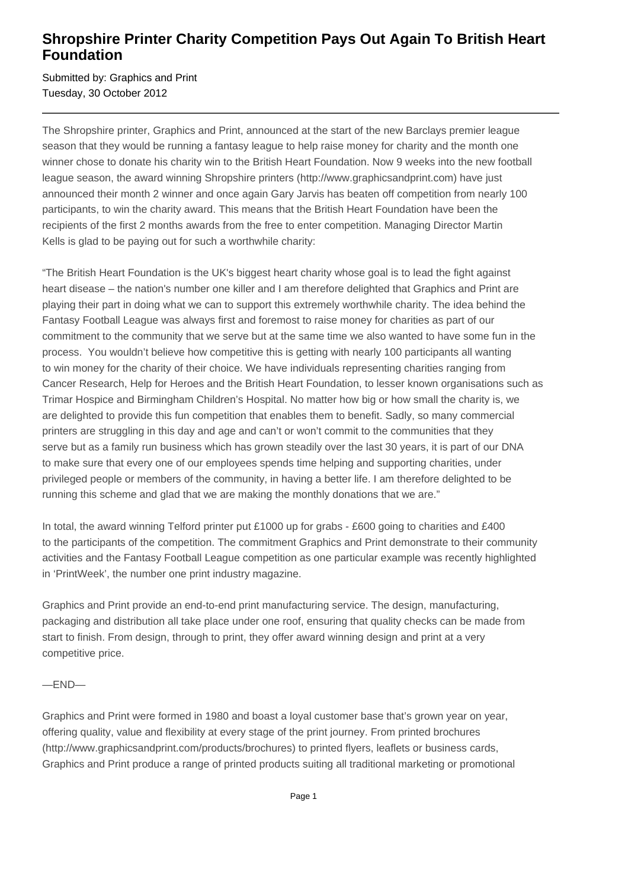## **Shropshire Printer Charity Competition Pays Out Again To British Heart Foundation**

Submitted by: Graphics and Print Tuesday, 30 October 2012

The Shropshire printer, Graphics and Print, announced at the start of the new Barclays premier league season that they would be running a fantasy league to help raise money for charity and the month one winner chose to donate his charity win to the British Heart Foundation. Now 9 weeks into the new football league season, the award winning Shropshire printers (http://www.graphicsandprint.com) have just announced their month 2 winner and once again Gary Jarvis has beaten off competition from nearly 100 participants, to win the charity award. This means that the British Heart Foundation have been the recipients of the first 2 months awards from the free to enter competition. Managing Director Martin Kells is glad to be paying out for such a worthwhile charity:

"The British Heart Foundation is the UK's biggest heart charity whose goal is to lead the fight against heart disease – the nation's number one killer and I am therefore delighted that Graphics and Print are playing their part in doing what we can to support this extremely worthwhile charity. The idea behind the Fantasy Football League was always first and foremost to raise money for charities as part of our commitment to the community that we serve but at the same time we also wanted to have some fun in the process. You wouldn't believe how competitive this is getting with nearly 100 participants all wanting to win money for the charity of their choice. We have individuals representing charities ranging from Cancer Research, Help for Heroes and the British Heart Foundation, to lesser known organisations such as Trimar Hospice and Birmingham Children's Hospital. No matter how big or how small the charity is, we are delighted to provide this fun competition that enables them to benefit. Sadly, so many commercial printers are struggling in this day and age and can't or won't commit to the communities that they serve but as a family run business which has grown steadily over the last 30 years, it is part of our DNA to make sure that every one of our employees spends time helping and supporting charities, under privileged people or members of the community, in having a better life. I am therefore delighted to be running this scheme and glad that we are making the monthly donations that we are."

In total, the award winning Telford printer put £1000 up for grabs - £600 going to charities and £400 to the participants of the competition. The commitment Graphics and Print demonstrate to their community activities and the Fantasy Football League competition as one particular example was recently highlighted in 'PrintWeek', the number one print industry magazine.

Graphics and Print provide an end-to-end print manufacturing service. The design, manufacturing, packaging and distribution all take place under one roof, ensuring that quality checks can be made from start to finish. From design, through to print, they offer award winning design and print at a very competitive price.

## —END—

Graphics and Print were formed in 1980 and boast a loyal customer base that's grown year on year, offering quality, value and flexibility at every stage of the print journey. From printed brochures (http://www.graphicsandprint.com/products/brochures) to printed flyers, leaflets or business cards, Graphics and Print produce a range of printed products suiting all traditional marketing or promotional